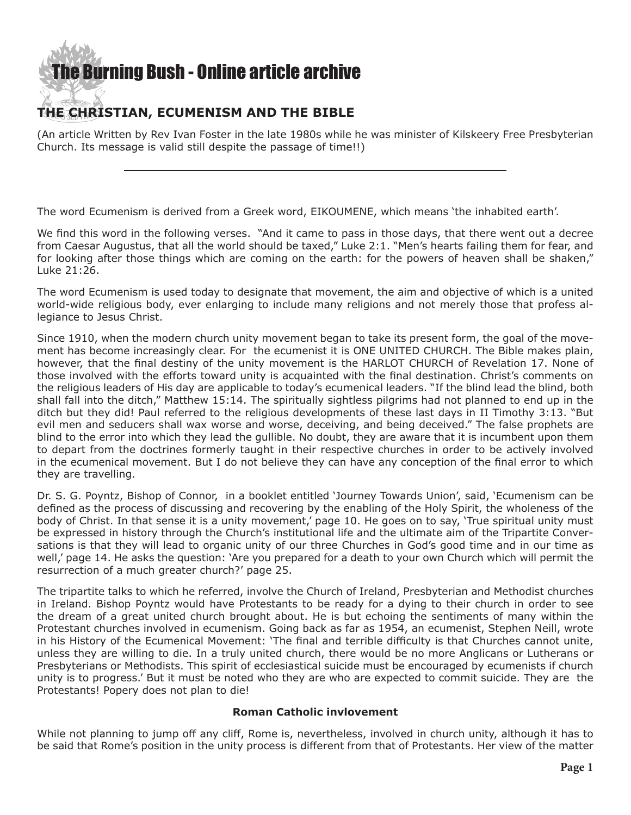## **[The Burning Bush - Online article archive](http://www.ivanfoster.net)**

#### **THE CHRISTIAN, ECUMENISM AND THE BIBLE**

(An article Written by Rev Ivan Foster in the late 1980s while he was minister of Kilskeery Free Presbyterian Church. Its message is valid still despite the passage of time!!)

The word Ecumenism is derived from a Greek word, EIKOUMENE, which means 'the inhabited earth'.

We find this word in the following verses. "And it came to pass in those days, that there went out a decree from Caesar Augustus, that all the world should be taxed," Luke 2:1. "Men's hearts failing them for fear, and for looking after those things which are coming on the earth: for the powers of heaven shall be shaken," Luke 21:26.

The word Ecumenism is used today to designate that movement, the aim and objective of which is a united world-wide religious body, ever enlarging to include many religions and not merely those that profess allegiance to Jesus Christ.

Since 1910, when the modern church unity movement began to take its present form, the goal of the movement has become increasingly clear. For the ecumenist it is ONE UNITED CHURCH. The Bible makes plain, however, that the final destiny of the unity movement is the HARLOT CHURCH of Revelation 17. None of those involved with the efforts toward unity is acquainted with the final destination. Christ's comments on the religious leaders of His day are applicable to today's ecumenical leaders. "If the blind lead the blind, both shall fall into the ditch," Matthew 15:14. The spiritually sightless pilgrims had not planned to end up in the ditch but they did! Paul referred to the religious developments of these last days in II Timothy 3:13. "But evil men and seducers shall wax worse and worse, deceiving, and being deceived." The false prophets are blind to the error into which they lead the gullible. No doubt, they are aware that it is incumbent upon them to depart from the doctrines formerly taught in their respective churches in order to be actively involved in the ecumenical movement. But I do not believe they can have any conception of the final error to which they are travelling.

Dr. S. G. Poyntz, Bishop of Connor, in a booklet entitled 'Journey Towards Union', said, 'Ecumenism can be defined as the process of discussing and recovering by the enabling of the Holy Spirit, the wholeness of the body of Christ. In that sense it is a unity movement,' page 10. He goes on to say, 'True spiritual unity must be expressed in history through the Church's institutional life and the ultimate aim of the Tripartite Conversations is that they will lead to organic unity of our three Churches in God's good time and in our time as well,' page 14. He asks the question: 'Are you prepared for a death to your own Church which will permit the resurrection of a much greater church?' page 25.

The tripartite talks to which he referred, involve the Church of Ireland, Presbyterian and Methodist churches in Ireland. Bishop Poyntz would have Protestants to be ready for a dying to their church in order to see the dream of a great united church brought about. He is but echoing the sentiments of many within the Protestant churches involved in ecumenism. Going back as far as 1954, an ecumenist, Stephen Neill, wrote in his History of the Ecumenical Movement: 'The final and terrible difficulty is that Churches cannot unite, unless they are willing to die. In a truly united church, there would be no more Anglicans or Lutherans or Presbyterians or Methodists. This spirit of ecclesiastical suicide must be encouraged by ecumenists if church unity is to progress.' But it must be noted who they are who are expected to commit suicide. They are the Protestants! Popery does not plan to die!

#### **Roman Catholic invlovement**

While not planning to jump off any cliff, Rome is, nevertheless, involved in church unity, although it has to be said that Rome's position in the unity process is different from that of Protestants. Her view of the matter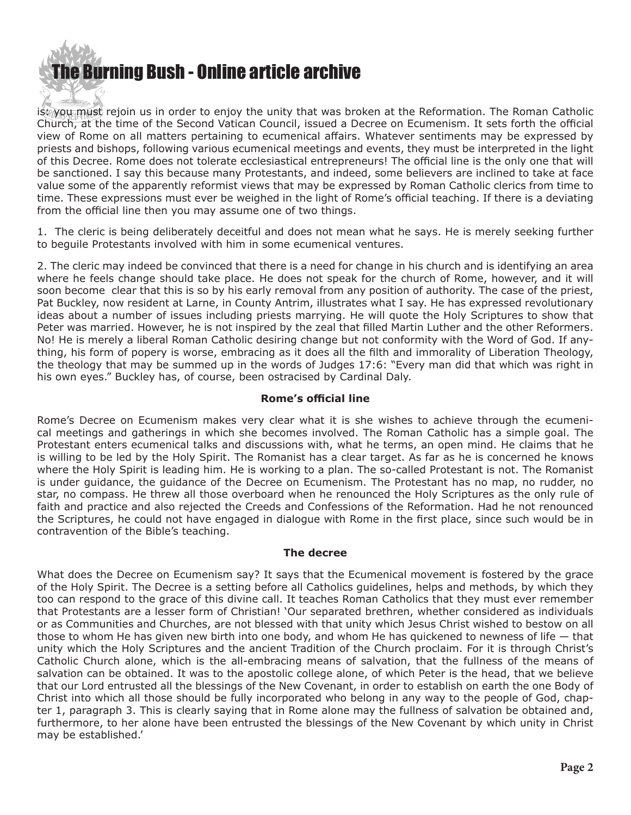## [The Bur](http://www.ivanfoster.net)ning Bush - Online article archive

is *wou must* rejoin us in order to enjoy the unity that was broken at the Reformation. The Roman Catholic Church, at the time of the Second Vatican Council, issued a Decree on Ecumenism. It sets forth the official view of Rome on all matters pertaining to ecumenical affairs. Whatever sentiments may be expressed by priests and bishops, following various ecumenical meetings and events, they must be interpreted in the light of this Decree. Rome does not tolerate ecclesiastical entrepreneurs! The official line is the only one that will be sanctioned. I say this because many Protestants, and indeed, some believers are inclined to take at face value some of the apparently reformist views that may be expressed by Roman Catholic clerics from time to time. These expressions must ever be weighed in the light of Rome's official teaching. If there is a deviating from the official line then you may assume one of two things.

1. The cleric is being deliberately deceitful and does not mean what he says. He is merely seeking further to beguile Protestants involved with him in some ecumenical ventures.

2. The cleric may indeed be convinced that there is a need for change in his church and is identifying an area where he feels change should take place. He does not speak for the church of Rome, however, and it will soon become clear that this is so by his early removal from any position of authority. The case of the priest, Pat Buckley, now resident at Larne, in County Antrim, illustrates what I say. He has expressed revolutionary ideas about a number of issues including priests marrying. He will quote the Holy Scriptures to show that Peter was married. However, he is not inspired by the zeal that filled Martin Luther and the other Reformers. No! He is merely a liberal Roman Catholic desiring change but not conformity with the Word of God. If anything, his form of popery is worse, embracing as it does all the filth and immorality of Liberation Theology, the theology that may be summed up in the words of Judges 17:6: "Every man did that which was right in his own eyes." Buckley has, of course, been ostracised by Cardinal Daly.

#### **Rome's official line**

Rome's Decree on Ecumenism makes very clear what it is she wishes to achieve through the ecumenical meetings and gatherings in which she becomes involved. The Roman Catholic has a simple goal. The Protestant enters ecumenical talks and discussions with, what he terms, an open mind. He claims that he is willing to be led by the Holy Spirit. The Romanist has a clear target. As far as he is concerned he knows where the Holy Spirit is leading him. He is working to a plan. The so-called Protestant is not. The Romanist is under guidance, the guidance of the Decree on Ecumenism. The Protestant has no map, no rudder, no star, no compass. He threw all those overboard when he renounced the Holy Scriptures as the only rule of faith and practice and also rejected the Creeds and Confessions of the Reformation. Had he not renounced the Scriptures, he could not have engaged in dialogue with Rome in the first place, since such would be in contravention of the Bible's teaching.

#### **The decree**

What does the Decree on Ecumenism say? It says that the Ecumenical movement is fostered by the grace of the Holy Spirit. The Decree is a setting before all Catholics guidelines, helps and methods, by which they too can respond to the grace of this divine call. It teaches Roman Catholics that they must ever remember that Protestants are a lesser form of Christian! 'Our separated brethren, whether considered as individuals or as Communities and Churches, are not blessed with that unity which Jesus Christ wished to bestow on all those to whom He has given new birth into one body, and whom He has quickened to newness of life — that unity which the Holy Scriptures and the ancient Tradition of the Church proclaim. For it is through Christ's Catholic Church alone, which is the all-embracing means of salvation, that the fullness of the means of salvation can be obtained. It was to the apostolic college alone, of which Peter is the head, that we believe that our Lord entrusted all the blessings of the New Covenant, in order to establish on earth the one Body of Christ into which all those should be fully incorporated who belong in any way to the people of God, chapter 1, paragraph 3. This is clearly saying that in Rome alone may the fullness of salvation be obtained and, furthermore, to her alone have been entrusted the blessings of the New Covenant by which unity in Christ may be established.'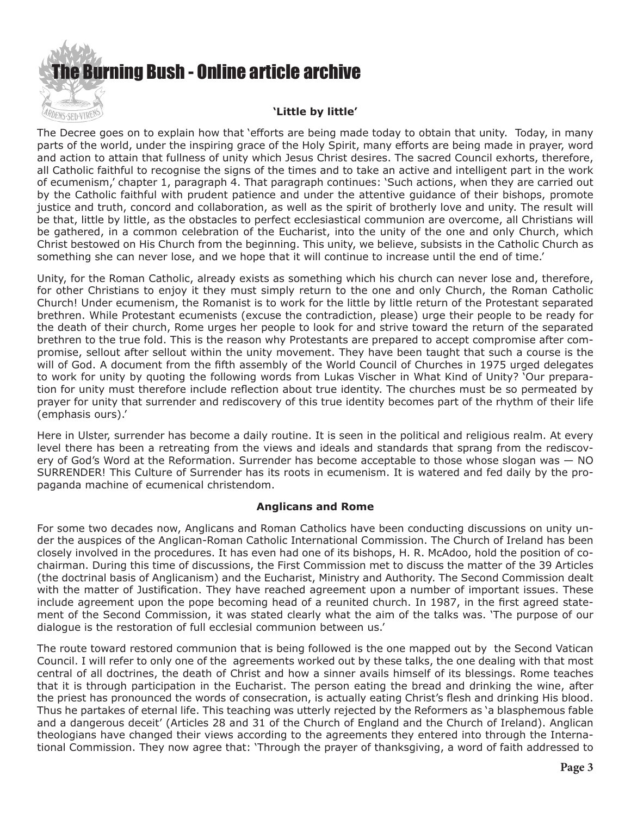

### The Decree goes on to explain how that 'efforts are being made today to obtain that unity. Today, in many

parts of the world, under the inspiring grace of the Holy Spirit, many efforts are being made in prayer, word and action to attain that fullness of unity which Jesus Christ desires. The sacred Council exhorts, therefore, all Catholic faithful to recognise the signs of the times and to take an active and intelligent part in the work of ecumenism,' chapter 1, paragraph 4. That paragraph continues: 'Such actions, when they are carried out by the Catholic faithful with prudent patience and under the attentive guidance of their bishops, promote justice and truth, concord and collaboration, as well as the spirit of brotherly love and unity. The result will be that, little by little, as the obstacles to perfect ecclesiastical communion are overcome, all Christians will be gathered, in a common celebration of the Eucharist, into the unity of the one and only Church, which Christ bestowed on His Church from the beginning. This unity, we believe, subsists in the Catholic Church as something she can never lose, and we hope that it will continue to increase until the end of time.'

Unity, for the Roman Catholic, already exists as something which his church can never lose and, therefore, for other Christians to enjoy it they must simply return to the one and only Church, the Roman Catholic Church! Under ecumenism, the Romanist is to work for the little by little return of the Protestant separated brethren. While Protestant ecumenists (excuse the contradiction, please) urge their people to be ready for the death of their church, Rome urges her people to look for and strive toward the return of the separated brethren to the true fold. This is the reason why Protestants are prepared to accept compromise after compromise, sellout after sellout within the unity movement. They have been taught that such a course is the will of God. A document from the fifth assembly of the World Council of Churches in 1975 urged delegates to work for unity by quoting the following words from Lukas Vischer in What Kind of Unity? 'Our preparation for unity must therefore include reflection about true identity. The churches must be so permeated by prayer for unity that surrender and rediscovery of this true identity becomes part of the rhythm of their life (emphasis ours).'

Here in Ulster, surrender has become a daily routine. It is seen in the political and religious realm. At every level there has been a retreating from the views and ideals and standards that sprang from the rediscovery of God's Word at the Reformation. Surrender has become acceptable to those whose slogan was — NO SURRENDER! This Culture of Surrender has its roots in ecumenism. It is watered and fed daily by the propaganda machine of ecumenical christendom.

#### **Anglicans and Rome**

For some two decades now, Anglicans and Roman Catholics have been conducting discussions on unity under the auspices of the Anglican-Roman Catholic International Commission. The Church of Ireland has been closely involved in the procedures. It has even had one of its bishops, H. R. McAdoo, hold the position of cochairman. During this time of discussions, the First Commission met to discuss the matter of the 39 Articles (the doctrinal basis of Anglicanism) and the Eucharist, Ministry and Authority. The Second Commission dealt with the matter of Justification. They have reached agreement upon a number of important issues. These include agreement upon the pope becoming head of a reunited church. In 1987, in the first agreed statement of the Second Commission, it was stated clearly what the aim of the talks was. 'The purpose of our dialogue is the restoration of full ecclesial communion between us.'

The route toward restored communion that is being followed is the one mapped out by the Second Vatican Council. I will refer to only one of the agreements worked out by these talks, the one dealing with that most central of all doctrines, the death of Christ and how a sinner avails himself of its blessings. Rome teaches that it is through participation in the Eucharist. The person eating the bread and drinking the wine, after the priest has pronounced the words of consecration, is actually eating Christ's flesh and drinking His blood. Thus he partakes of eternal life. This teaching was utterly rejected by the Reformers as 'a blasphemous fable and a dangerous deceit' (Articles 28 and 31 of the Church of England and the Church of Ireland). Anglican theologians have changed their views according to the agreements they entered into through the International Commission. They now agree that: 'Through the prayer of thanksgiving, a word of faith addressed to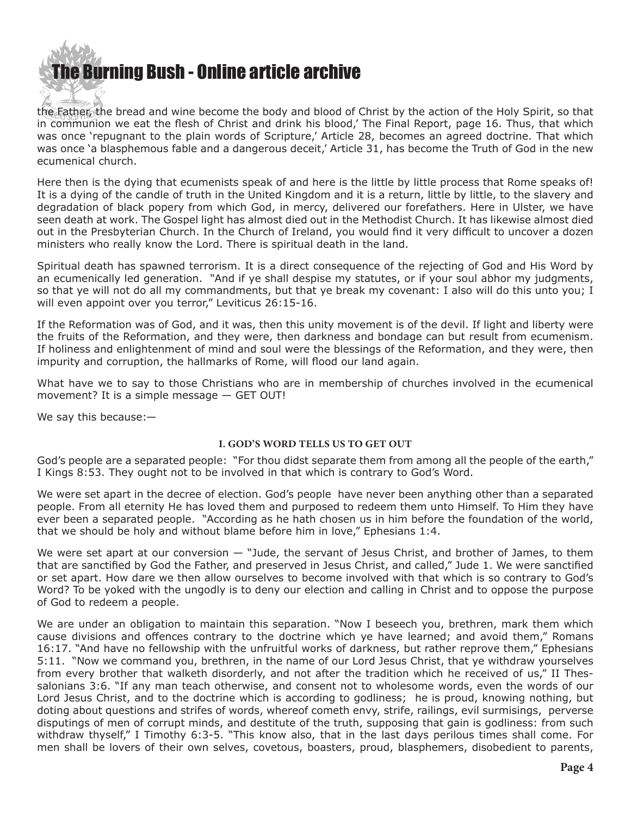

the Father, the bread and wine become the body and blood of Christ by the action of the Holy Spirit, so that in communion we eat the flesh of Christ and drink his blood,' The Final Report, page 16. Thus, that which was once 'repugnant to the plain words of Scripture,' Article 28, becomes an agreed doctrine. That which was once 'a blasphemous fable and a dangerous deceit,' Article 31, has become the Truth of God in the new ecumenical church.

Here then is the dying that ecumenists speak of and here is the little by little process that Rome speaks of! It is a dying of the candle of truth in the United Kingdom and it is a return, little by little, to the slavery and degradation of black popery from which God, in mercy, delivered our forefathers. Here in Ulster, we have seen death at work. The Gospel light has almost died out in the Methodist Church. It has likewise almost died out in the Presbyterian Church. In the Church of Ireland, you would find it very difficult to uncover a dozen ministers who really know the Lord. There is spiritual death in the land.

Spiritual death has spawned terrorism. It is a direct consequence of the rejecting of God and His Word by an ecumenically led generation. "And if ye shall despise my statutes, or if your soul abhor my judgments, so that ye will not do all my commandments, but that ye break my covenant: I also will do this unto you; I will even appoint over you terror," Leviticus 26:15-16.

If the Reformation was of God, and it was, then this unity movement is of the devil. If light and liberty were the fruits of the Reformation, and they were, then darkness and bondage can but result from ecumenism. If holiness and enlightenment of mind and soul were the blessings of the Reformation, and they were, then impurity and corruption, the hallmarks of Rome, will flood our land again.

What have we to say to those Christians who are in membership of churches involved in the ecumenical movement? It is a simple message — GET OUT!

We say this because:—

#### **I. GOD'S WORD TELLS US TO GET OUT**

God's people are a separated people: "For thou didst separate them from among all the people of the earth," I Kings 8:53. They ought not to be involved in that which is contrary to God's Word.

We were set apart in the decree of election. God's people have never been anything other than a separated people. From all eternity He has loved them and purposed to redeem them unto Himself. To Him they have ever been a separated people. "According as he hath chosen us in him before the foundation of the world, that we should be holy and without blame before him in love," Ephesians 1:4.

We were set apart at our conversion  $-$  "Jude, the servant of Jesus Christ, and brother of James, to them that are sanctified by God the Father, and preserved in Jesus Christ, and called," Jude 1. We were sanctified or set apart. How dare we then allow ourselves to become involved with that which is so contrary to God's Word? To be yoked with the ungodly is to deny our election and calling in Christ and to oppose the purpose of God to redeem a people.

We are under an obligation to maintain this separation. "Now I beseech you, brethren, mark them which cause divisions and offences contrary to the doctrine which ye have learned; and avoid them," Romans 16:17. "And have no fellowship with the unfruitful works of darkness, but rather reprove them," Ephesians 5:11. "Now we command you, brethren, in the name of our Lord Jesus Christ, that ye withdraw yourselves from every brother that walketh disorderly, and not after the tradition which he received of us," II Thessalonians 3:6. "If any man teach otherwise, and consent not to wholesome words, even the words of our Lord Jesus Christ, and to the doctrine which is according to godliness; he is proud, knowing nothing, but doting about questions and strifes of words, whereof cometh envy, strife, railings, evil surmisings, perverse disputings of men of corrupt minds, and destitute of the truth, supposing that gain is godliness: from such withdraw thyself," I Timothy 6:3-5. "This know also, that in the last days perilous times shall come. For men shall be lovers of their own selves, covetous, boasters, proud, blasphemers, disobedient to parents,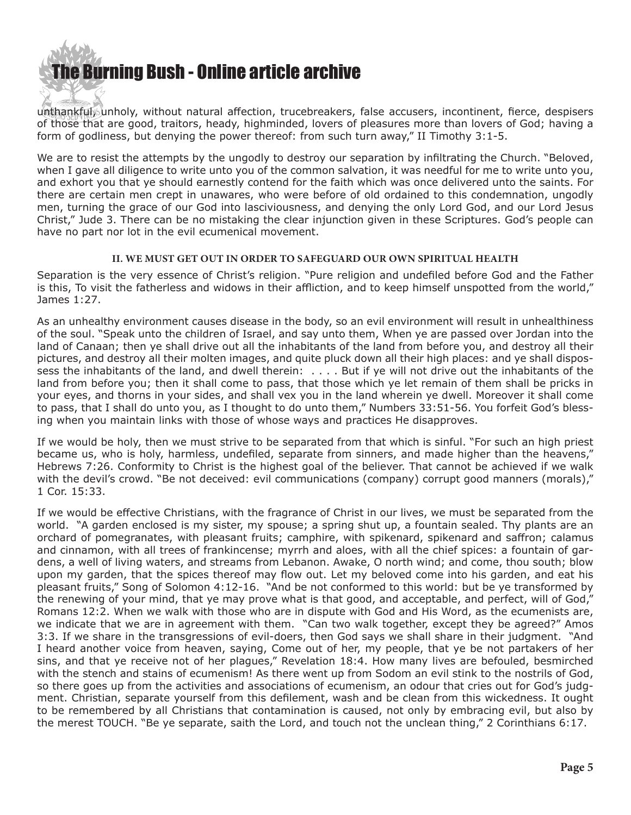

unthankful, unholy, without natural affection, trucebreakers, false accusers, incontinent, fierce, despisers of those that are good, traitors, heady, highminded, lovers of pleasures more than lovers of God; having a form of godliness, but denying the power thereof: from such turn away," II Timothy 3:1-5.

We are to resist the attempts by the ungodly to destroy our separation by infiltrating the Church. "Beloved, when I gave all diligence to write unto you of the common salvation, it was needful for me to write unto you, and exhort you that ye should earnestly contend for the faith which was once delivered unto the saints. For there are certain men crept in unawares, who were before of old ordained to this condemnation, ungodly men, turning the grace of our God into lasciviousness, and denying the only Lord God, and our Lord Jesus Christ," Jude 3. There can be no mistaking the clear injunction given in these Scriptures. God's people can have no part nor lot in the evil ecumenical movement.

#### **II. WE MUST GET OUT IN ORDER TO SAFEGUARD OUR OWN SPIRITUAL HEALTH**

Separation is the very essence of Christ's religion. "Pure religion and undefiled before God and the Father is this, To visit the fatherless and widows in their affliction, and to keep himself unspotted from the world," James 1:27.

As an unhealthy environment causes disease in the body, so an evil environment will result in unhealthiness of the soul. "Speak unto the children of Israel, and say unto them, When ye are passed over Jordan into the land of Canaan; then ye shall drive out all the inhabitants of the land from before you, and destroy all their pictures, and destroy all their molten images, and quite pluck down all their high places: and ye shall dispossess the inhabitants of the land, and dwell therein: . . . . But if ye will not drive out the inhabitants of the land from before you; then it shall come to pass, that those which ye let remain of them shall be pricks in your eyes, and thorns in your sides, and shall vex you in the land wherein ye dwell. Moreover it shall come to pass, that I shall do unto you, as I thought to do unto them," Numbers 33:51-56. You forfeit God's blessing when you maintain links with those of whose ways and practices He disapproves.

If we would be holy, then we must strive to be separated from that which is sinful. "For such an high priest became us, who is holy, harmless, undefiled, separate from sinners, and made higher than the heavens," Hebrews 7:26. Conformity to Christ is the highest goal of the believer. That cannot be achieved if we walk with the devil's crowd. "Be not deceived: evil communications (company) corrupt good manners (morals)," 1 Cor. 15:33.

If we would be effective Christians, with the fragrance of Christ in our lives, we must be separated from the world. "A garden enclosed is my sister, my spouse; a spring shut up, a fountain sealed. Thy plants are an orchard of pomegranates, with pleasant fruits; camphire, with spikenard, spikenard and saffron; calamus and cinnamon, with all trees of frankincense; myrrh and aloes, with all the chief spices: a fountain of gardens, a well of living waters, and streams from Lebanon. Awake, O north wind; and come, thou south; blow upon my garden, that the spices thereof may flow out. Let my beloved come into his garden, and eat his pleasant fruits," Song of Solomon 4:12-16. "And be not conformed to this world: but be ye transformed by the renewing of your mind, that ye may prove what is that good, and acceptable, and perfect, will of God," Romans 12:2. When we walk with those who are in dispute with God and His Word, as the ecumenists are, we indicate that we are in agreement with them. "Can two walk together, except they be agreed?" Amos 3:3. If we share in the transgressions of evil-doers, then God says we shall share in their judgment. "And I heard another voice from heaven, saying, Come out of her, my people, that ye be not partakers of her sins, and that ye receive not of her plagues," Revelation 18:4. How many lives are befouled, besmirched with the stench and stains of ecumenism! As there went up from Sodom an evil stink to the nostrils of God, so there goes up from the activities and associations of ecumenism, an odour that cries out for God's judgment. Christian, separate yourself from this defilement, wash and be clean from this wickedness. It ought to be remembered by all Christians that contamination is caused, not only by embracing evil, but also by the merest TOUCH. "Be ye separate, saith the Lord, and touch not the unclean thing," 2 Corinthians 6:17.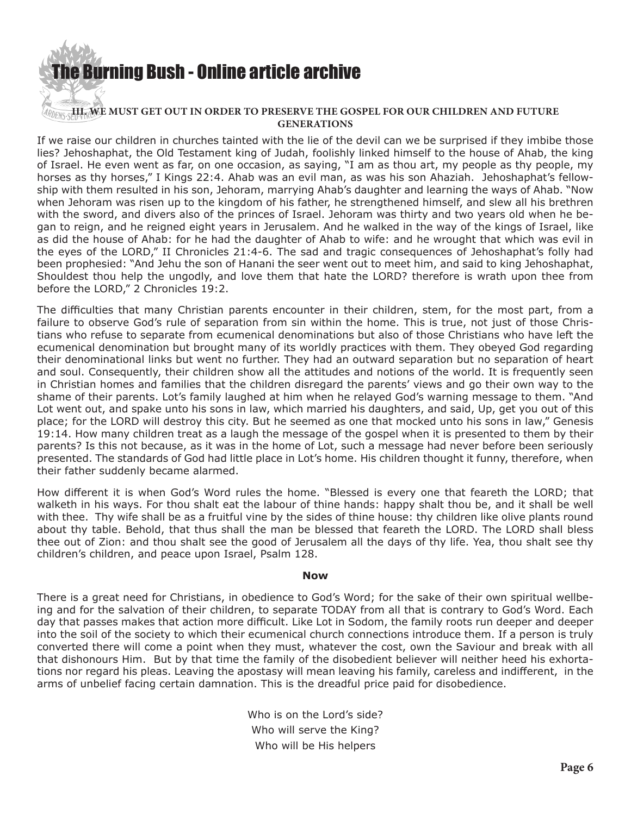

#### **GENERATIONS** If we raise our children in churches tainted with the lie of the devil can we be surprised if they imbibe those lies? Jehoshaphat, the Old Testament king of Judah, foolishly linked himself to the house of Ahab, the king of Israel. He even went as far, on one occasion, as saying, "I am as thou art, my people as thy people, my horses as thy horses," I Kings 22:4. Ahab was an evil man, as was his son Ahaziah. Jehoshaphat's fellowship with them resulted in his son, Jehoram, marrying Ahab's daughter and learning the ways of Ahab. "Now when Jehoram was risen up to the kingdom of his father, he strengthened himself, and slew all his brethren with the sword, and divers also of the princes of Israel. Jehoram was thirty and two years old when he began to reign, and he reigned eight years in Jerusalem. And he walked in the way of the kings of Israel, like as did the house of Ahab: for he had the daughter of Ahab to wife: and he wrought that which was evil in the eyes of the LORD," II Chronicles 21:4-6. The sad and tragic consequences of Jehoshaphat's folly had been prophesied: "And Jehu the son of Hanani the seer went out to meet him, and said to king Jehoshaphat, Shouldest thou help the ungodly, and love them that hate the LORD? therefore is wrath upon thee from before the LORD," 2 Chronicles 19:2.

The difficulties that many Christian parents encounter in their children, stem, for the most part, from a failure to observe God's rule of separation from sin within the home. This is true, not just of those Christians who refuse to separate from ecumenical denominations but also of those Christians who have left the ecumenical denomination but brought many of its worldly practices with them. They obeyed God regarding their denominational links but went no further. They had an outward separation but no separation of heart and soul. Consequently, their children show all the attitudes and notions of the world. It is frequently seen in Christian homes and families that the children disregard the parents' views and go their own way to the shame of their parents. Lot's family laughed at him when he relayed God's warning message to them. "And Lot went out, and spake unto his sons in law, which married his daughters, and said, Up, get you out of this place; for the LORD will destroy this city. But he seemed as one that mocked unto his sons in law," Genesis 19:14. How many children treat as a laugh the message of the gospel when it is presented to them by their parents? Is this not because, as it was in the home of Lot, such a message had never before been seriously presented. The standards of God had little place in Lot's home. His children thought it funny, therefore, when their father suddenly became alarmed.

How different it is when God's Word rules the home. "Blessed is every one that feareth the LORD; that walketh in his ways. For thou shalt eat the labour of thine hands: happy shalt thou be, and it shall be well with thee. Thy wife shall be as a fruitful vine by the sides of thine house: thy children like olive plants round about thy table. Behold, that thus shall the man be blessed that feareth the LORD. The LORD shall bless thee out of Zion: and thou shalt see the good of Jerusalem all the days of thy life. Yea, thou shalt see thy children's children, and peace upon Israel, Psalm 128.

#### **Now**

There is a great need for Christians, in obedience to God's Word; for the sake of their own spiritual wellbeing and for the salvation of their children, to separate TODAY from all that is contrary to God's Word. Each day that passes makes that action more difficult. Like Lot in Sodom, the family roots run deeper and deeper into the soil of the society to which their ecumenical church connections introduce them. If a person is truly converted there will come a point when they must, whatever the cost, own the Saviour and break with all that dishonours Him. But by that time the family of the disobedient believer will neither heed his exhortations nor regard his pleas. Leaving the apostasy will mean leaving his family, careless and indifferent, in the arms of unbelief facing certain damnation. This is the dreadful price paid for disobedience.

> Who is on the Lord's side? Who will serve the King? Who will be His helpers